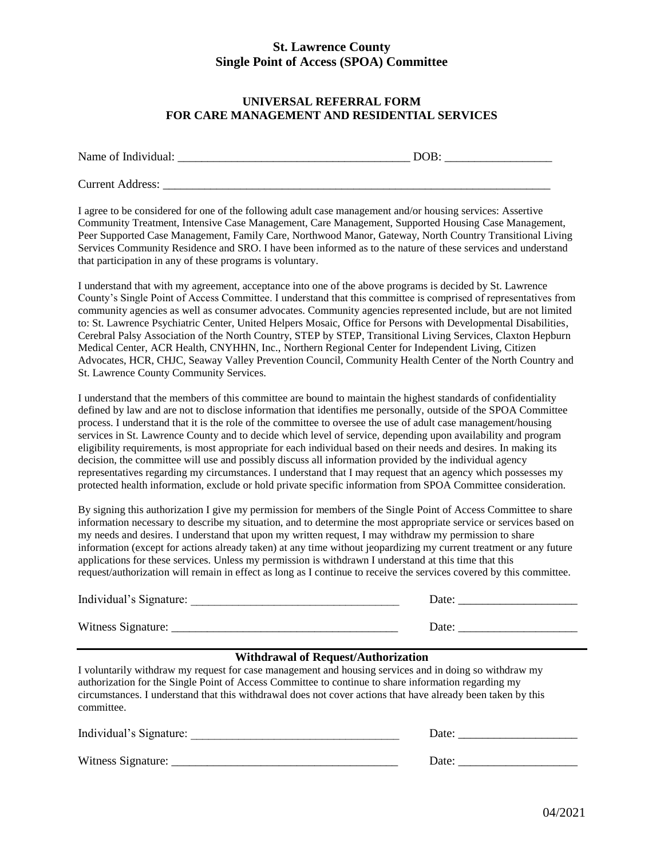#### **UNIVERSAL REFERRAL FORM FOR CARE MANAGEMENT AND RESIDENTIAL SERVICES**

| Name of Individual:     | DOB: |
|-------------------------|------|
| <b>Current Address:</b> |      |

I agree to be considered for one of the following adult case management and/or housing services: Assertive Community Treatment, Intensive Case Management, Care Management, Supported Housing Case Management, Peer Supported Case Management, Family Care, Northwood Manor, Gateway, North Country Transitional Living Services Community Residence and SRO. I have been informed as to the nature of these services and understand that participation in any of these programs is voluntary.

I understand that with my agreement, acceptance into one of the above programs is decided by St. Lawrence County's Single Point of Access Committee. I understand that this committee is comprised of representatives from community agencies as well as consumer advocates. Community agencies represented include, but are not limited to: St. Lawrence Psychiatric Center, United Helpers Mosaic, Office for Persons with Developmental Disabilities, Cerebral Palsy Association of the North Country, STEP by STEP, Transitional Living Services, Claxton Hepburn Medical Center, ACR Health, CNYHHN, Inc., Northern Regional Center for Independent Living, Citizen Advocates, HCR, CHJC, Seaway Valley Prevention Council, Community Health Center of the North Country and St. Lawrence County Community Services.

I understand that the members of this committee are bound to maintain the highest standards of confidentiality defined by law and are not to disclose information that identifies me personally, outside of the SPOA Committee process. I understand that it is the role of the committee to oversee the use of adult case management/housing services in St. Lawrence County and to decide which level of service, depending upon availability and program eligibility requirements, is most appropriate for each individual based on their needs and desires. In making its decision, the committee will use and possibly discuss all information provided by the individual agency representatives regarding my circumstances. I understand that I may request that an agency which possesses my protected health information, exclude or hold private specific information from SPOA Committee consideration.

By signing this authorization I give my permission for members of the Single Point of Access Committee to share information necessary to describe my situation, and to determine the most appropriate service or services based on my needs and desires. I understand that upon my written request, I may withdraw my permission to share information (except for actions already taken) at any time without jeopardizing my current treatment or any future applications for these services. Unless my permission is withdrawn I understand at this time that this request/authorization will remain in effect as long as I continue to receive the services covered by this committee.

| Individual's Signature: | Date: |
|-------------------------|-------|
| Witness Signature:      | Date: |

#### **Withdrawal of Request/Authorization**

I voluntarily withdraw my request for case management and housing services and in doing so withdraw my authorization for the Single Point of Access Committee to continue to share information regarding my circumstances. I understand that this withdrawal does not cover actions that have already been taken by this committee.

| Individual's Signature: | Date: |
|-------------------------|-------|
| Witness Signature:      | Date: |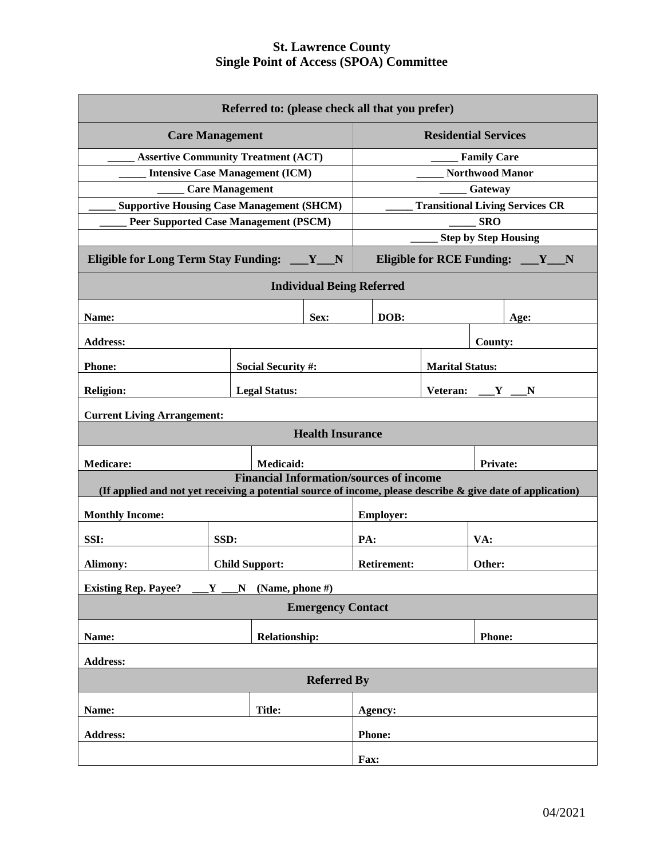| Referred to: (please check all that you prefer)                                                                |                                                |                                        |                             |                                                |                              |                    |                                        |
|----------------------------------------------------------------------------------------------------------------|------------------------------------------------|----------------------------------------|-----------------------------|------------------------------------------------|------------------------------|--------------------|----------------------------------------|
| <b>Care Management</b>                                                                                         |                                                |                                        | <b>Residential Services</b> |                                                |                              |                    |                                        |
| <b>Assertive Community Treatment (ACT)</b>                                                                     |                                                |                                        |                             |                                                |                              | <b>Family Care</b> |                                        |
|                                                                                                                |                                                | <b>Intensive Case Management (ICM)</b> |                             | <b>Northwood Manor</b>                         |                              |                    |                                        |
|                                                                                                                |                                                | <b>Care Management</b>                 |                             |                                                |                              | Gateway            |                                        |
| <b>Supportive Housing Case Management (SHCM)</b>                                                               |                                                |                                        |                             |                                                |                              |                    | <b>Transitional Living Services CR</b> |
| <b>Peer Supported Case Management (PSCM)</b>                                                                   |                                                |                                        |                             | <b>SRO</b>                                     |                              |                    |                                        |
|                                                                                                                |                                                |                                        |                             | <b>Step by Step Housing</b>                    |                              |                    |                                        |
| Eligible for Long Term Stay Funding: __Y_N                                                                     |                                                |                                        |                             |                                                |                              |                    | Eligible for RCE Funding: __Y_N        |
|                                                                                                                |                                                |                                        |                             | <b>Individual Being Referred</b>               |                              |                    |                                        |
| Name:                                                                                                          |                                                |                                        | Sex:                        | DOB:                                           |                              |                    | Age:                                   |
| <b>Address:</b>                                                                                                |                                                |                                        |                             |                                                |                              | <b>County:</b>     |                                        |
| <b>Phone:</b>                                                                                                  |                                                | <b>Social Security #:</b>              |                             | <b>Marital Status:</b>                         |                              |                    |                                        |
| <b>Religion:</b>                                                                                               |                                                | <b>Legal Status:</b>                   |                             |                                                | Veteran: $Y$ $Y$<br>N        |                    |                                        |
| <b>Current Living Arrangement:</b>                                                                             |                                                |                                        |                             |                                                |                              |                    |                                        |
|                                                                                                                |                                                |                                        | <b>Health Insurance</b>     |                                                |                              |                    |                                        |
| <b>Medicare:</b>                                                                                               |                                                | Medicaid:                              |                             |                                                |                              | <b>Private:</b>    |                                        |
| (If applied and not yet receiving a potential source of income, please describe $\&$ give date of application) |                                                |                                        |                             | <b>Financial Information/sources of income</b> |                              |                    |                                        |
|                                                                                                                |                                                |                                        |                             |                                                |                              |                    |                                        |
| <b>Monthly Income:</b>                                                                                         |                                                |                                        |                             | <b>Employer:</b>                               |                              |                    |                                        |
| SSI:                                                                                                           | SSD:                                           |                                        |                             | PA:                                            |                              | VA:                |                                        |
| Alimony:                                                                                                       |                                                | <b>Child Support:</b>                  |                             |                                                | <b>Retirement:</b><br>Other: |                    |                                        |
|                                                                                                                | Existing Rep. Payee? ___Y ___N (Name, phone #) |                                        |                             |                                                |                              |                    |                                        |
| <b>Emergency Contact</b>                                                                                       |                                                |                                        |                             |                                                |                              |                    |                                        |
| Name:                                                                                                          |                                                |                                        | <b>Relationship:</b>        |                                                | <b>Phone:</b>                |                    |                                        |
| <b>Address:</b>                                                                                                |                                                |                                        |                             |                                                |                              |                    |                                        |
| <b>Referred By</b>                                                                                             |                                                |                                        |                             |                                                |                              |                    |                                        |
| Name:                                                                                                          |                                                | <b>Title:</b>                          |                             | Agency:                                        |                              |                    |                                        |
| <b>Address:</b>                                                                                                |                                                |                                        |                             | Phone:                                         |                              |                    |                                        |
|                                                                                                                |                                                |                                        |                             | Fax:                                           |                              |                    |                                        |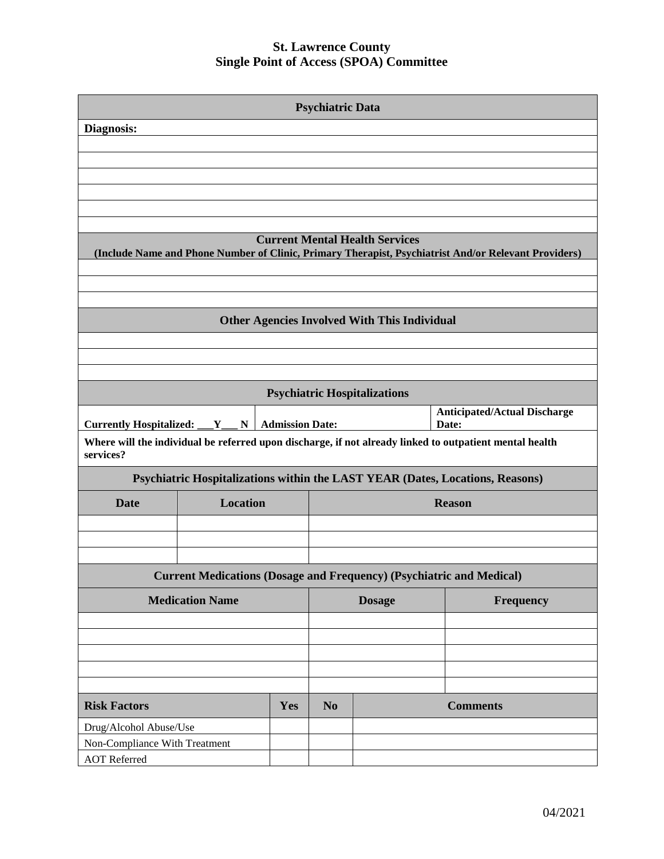| <b>Psychiatric Data</b>                                                     |                                     |                        |                |                                                     |                                                                                                         |  |
|-----------------------------------------------------------------------------|-------------------------------------|------------------------|----------------|-----------------------------------------------------|---------------------------------------------------------------------------------------------------------|--|
| Diagnosis:                                                                  |                                     |                        |                |                                                     |                                                                                                         |  |
|                                                                             |                                     |                        |                |                                                     |                                                                                                         |  |
|                                                                             |                                     |                        |                |                                                     |                                                                                                         |  |
|                                                                             |                                     |                        |                |                                                     |                                                                                                         |  |
|                                                                             |                                     |                        |                |                                                     |                                                                                                         |  |
|                                                                             |                                     |                        |                |                                                     |                                                                                                         |  |
|                                                                             |                                     |                        |                |                                                     |                                                                                                         |  |
|                                                                             |                                     |                        |                | <b>Current Mental Health Services</b>               | (Include Name and Phone Number of Clinic, Primary Therapist, Psychiatrist And/or Relevant Providers)    |  |
|                                                                             |                                     |                        |                |                                                     |                                                                                                         |  |
|                                                                             |                                     |                        |                | <b>Other Agencies Involved With This Individual</b> |                                                                                                         |  |
|                                                                             |                                     |                        |                |                                                     |                                                                                                         |  |
|                                                                             |                                     |                        |                |                                                     |                                                                                                         |  |
|                                                                             |                                     |                        |                |                                                     |                                                                                                         |  |
|                                                                             |                                     |                        |                | <b>Psychiatric Hospitalizations</b>                 |                                                                                                         |  |
| <b>Currently Hospitalized:</b>                                              | $\mathbf{Y}_{\perp}$<br>$\mathbf N$ | <b>Admission Date:</b> |                |                                                     | <b>Anticipated/Actual Discharge</b><br>Date:                                                            |  |
| services?                                                                   |                                     |                        |                |                                                     | Where will the individual be referred upon discharge, if not already linked to outpatient mental health |  |
|                                                                             |                                     |                        |                |                                                     | Psychiatric Hospitalizations within the LAST YEAR (Dates, Locations, Reasons)                           |  |
| <b>Date</b>                                                                 | <b>Location</b>                     |                        |                |                                                     | <b>Reason</b>                                                                                           |  |
|                                                                             |                                     |                        |                |                                                     |                                                                                                         |  |
|                                                                             |                                     |                        |                |                                                     |                                                                                                         |  |
|                                                                             |                                     |                        |                |                                                     |                                                                                                         |  |
| <b>Current Medications (Dosage and Frequency) (Psychiatric and Medical)</b> |                                     |                        |                |                                                     |                                                                                                         |  |
| <b>Medication Name</b>                                                      |                                     |                        |                | <b>Dosage</b>                                       | Frequency                                                                                               |  |
|                                                                             |                                     |                        |                |                                                     |                                                                                                         |  |
|                                                                             |                                     |                        |                |                                                     |                                                                                                         |  |
|                                                                             |                                     |                        |                |                                                     |                                                                                                         |  |
|                                                                             |                                     |                        |                |                                                     |                                                                                                         |  |
|                                                                             |                                     |                        |                |                                                     |                                                                                                         |  |
| <b>Risk Factors</b><br>Yes                                                  |                                     |                        | N <sub>0</sub> |                                                     | <b>Comments</b>                                                                                         |  |
| Drug/Alcohol Abuse/Use                                                      |                                     |                        |                |                                                     |                                                                                                         |  |
| Non-Compliance With Treatment                                               |                                     |                        |                |                                                     |                                                                                                         |  |
| <b>AOT</b> Referred                                                         |                                     |                        |                |                                                     |                                                                                                         |  |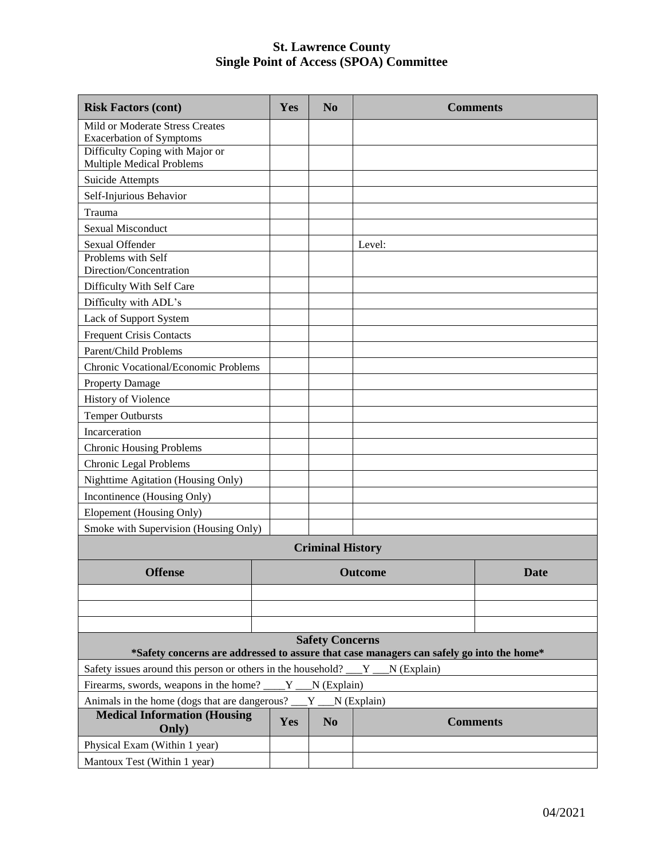| <b>Risk Factors (cont)</b>                                                                                         | Yes | N <sub>0</sub>          | <b>Comments</b> |             |  |
|--------------------------------------------------------------------------------------------------------------------|-----|-------------------------|-----------------|-------------|--|
| Mild or Moderate Stress Creates<br><b>Exacerbation of Symptoms</b>                                                 |     |                         |                 |             |  |
| Difficulty Coping with Major or<br><b>Multiple Medical Problems</b>                                                |     |                         |                 |             |  |
| Suicide Attempts                                                                                                   |     |                         |                 |             |  |
| Self-Injurious Behavior                                                                                            |     |                         |                 |             |  |
| Trauma                                                                                                             |     |                         |                 |             |  |
| <b>Sexual Misconduct</b>                                                                                           |     |                         |                 |             |  |
| Sexual Offender                                                                                                    |     |                         | Level:          |             |  |
| Problems with Self<br>Direction/Concentration                                                                      |     |                         |                 |             |  |
| Difficulty With Self Care                                                                                          |     |                         |                 |             |  |
| Difficulty with ADL's                                                                                              |     |                         |                 |             |  |
| Lack of Support System                                                                                             |     |                         |                 |             |  |
| <b>Frequent Crisis Contacts</b>                                                                                    |     |                         |                 |             |  |
| Parent/Child Problems                                                                                              |     |                         |                 |             |  |
| Chronic Vocational/Economic Problems                                                                               |     |                         |                 |             |  |
| <b>Property Damage</b>                                                                                             |     |                         |                 |             |  |
| History of Violence                                                                                                |     |                         |                 |             |  |
| <b>Temper Outbursts</b>                                                                                            |     |                         |                 |             |  |
| Incarceration                                                                                                      |     |                         |                 |             |  |
| <b>Chronic Housing Problems</b>                                                                                    |     |                         |                 |             |  |
| Chronic Legal Problems                                                                                             |     |                         |                 |             |  |
| Nighttime Agitation (Housing Only)                                                                                 |     |                         |                 |             |  |
| Incontinence (Housing Only)                                                                                        |     |                         |                 |             |  |
| Elopement (Housing Only)                                                                                           |     |                         |                 |             |  |
| Smoke with Supervision (Housing Only)                                                                              |     |                         |                 |             |  |
|                                                                                                                    |     | <b>Criminal History</b> |                 |             |  |
| <b>Offense</b>                                                                                                     |     |                         | <b>Outcome</b>  | <b>Date</b> |  |
|                                                                                                                    |     |                         |                 |             |  |
|                                                                                                                    |     |                         |                 |             |  |
|                                                                                                                    |     |                         |                 |             |  |
| <b>Safety Concerns</b><br>*Safety concerns are addressed to assure that case managers can safely go into the home* |     |                         |                 |             |  |
| Safety issues around this person or others in the household?<br>N (Explain)<br>$Y_{-}$                             |     |                         |                 |             |  |
| Firearms, swords, weapons in the home?<br>$Y_{\text{max}}$ (Explain)                                               |     |                         |                 |             |  |
| Animals in the home (dogs that are dangerous?<br>$N$ (Explain)<br>Y                                                |     |                         |                 |             |  |
| <b>Medical Information (Housing</b><br>Only)                                                                       | Yes | N <sub>0</sub>          | <b>Comments</b> |             |  |
| Physical Exam (Within 1 year)                                                                                      |     |                         |                 |             |  |
| Mantoux Test (Within 1 year)                                                                                       |     |                         |                 |             |  |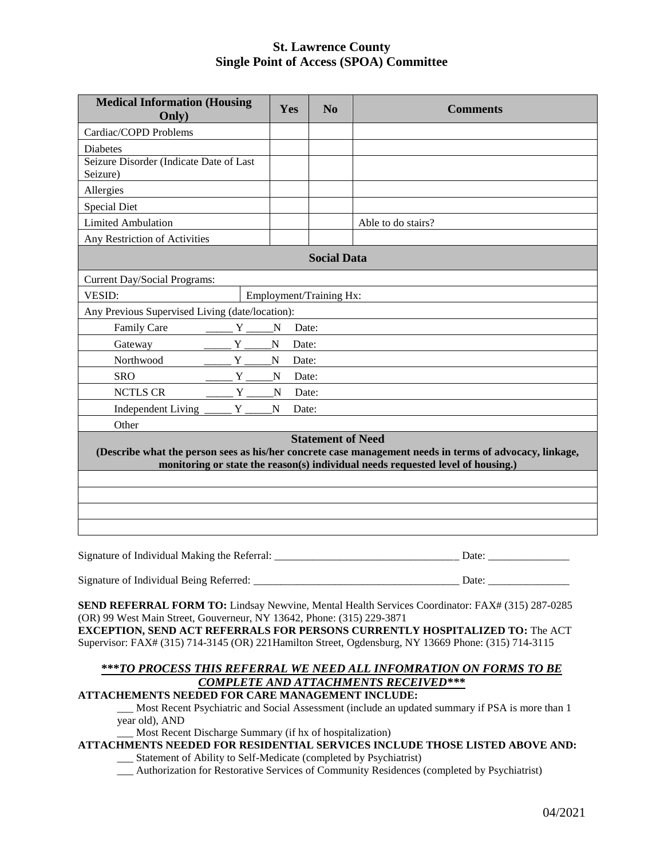| <b>Medical Information (Housing</b><br>Only)                                                                                                                                                                           |                     | Yes<br>N <sub>0</sub>   | <b>Comments</b>    |  |  |
|------------------------------------------------------------------------------------------------------------------------------------------------------------------------------------------------------------------------|---------------------|-------------------------|--------------------|--|--|
| Cardiac/COPD Problems                                                                                                                                                                                                  |                     |                         |                    |  |  |
| <b>Diabetes</b>                                                                                                                                                                                                        |                     |                         |                    |  |  |
| Seizure Disorder (Indicate Date of Last<br>Seizure)                                                                                                                                                                    |                     |                         |                    |  |  |
| Allergies                                                                                                                                                                                                              |                     |                         |                    |  |  |
| <b>Special Diet</b>                                                                                                                                                                                                    |                     |                         |                    |  |  |
| <b>Limited Ambulation</b>                                                                                                                                                                                              |                     |                         | Able to do stairs? |  |  |
| Any Restriction of Activities                                                                                                                                                                                          |                     |                         |                    |  |  |
|                                                                                                                                                                                                                        |                     | <b>Social Data</b>      |                    |  |  |
| Current Day/Social Programs:                                                                                                                                                                                           |                     |                         |                    |  |  |
| <b>VESID:</b>                                                                                                                                                                                                          |                     | Employment/Training Hx: |                    |  |  |
| Any Previous Supervised Living (date/location):                                                                                                                                                                        |                     |                         |                    |  |  |
| Family Care                                                                                                                                                                                                            | $Y_{\_\_\_\_}$<br>N | Date:                   |                    |  |  |
| Y<br>Gateway                                                                                                                                                                                                           | $\mathbf N$         | Date:                   |                    |  |  |
| Northwood<br>Y                                                                                                                                                                                                         | $\mathbf N$         | Date:                   |                    |  |  |
| Y<br><b>SRO</b>                                                                                                                                                                                                        | N                   | Date:                   |                    |  |  |
| <b>NCTLS CR</b><br>Y                                                                                                                                                                                                   | N                   | Date:                   |                    |  |  |
| Independent Living _<br>Y                                                                                                                                                                                              | N                   | Date:                   |                    |  |  |
| Other                                                                                                                                                                                                                  |                     |                         |                    |  |  |
| <b>Statement of Need</b><br>(Describe what the person sees as his/her concrete case management needs in terms of advocacy, linkage,<br>monitoring or state the reason(s) individual needs requested level of housing.) |                     |                         |                    |  |  |
|                                                                                                                                                                                                                        |                     |                         |                    |  |  |
|                                                                                                                                                                                                                        |                     |                         |                    |  |  |
|                                                                                                                                                                                                                        |                     |                         |                    |  |  |
|                                                                                                                                                                                                                        |                     |                         |                    |  |  |
| $\sim$<br>$c \tau$ is the state of $D$ $c$                                                                                                                                                                             |                     |                         | $\mathbf{\bar{n}}$ |  |  |

Signature of Individual Making the Referral: \_\_\_\_\_\_\_\_\_\_\_\_\_\_\_\_\_\_\_\_\_\_\_\_\_\_\_\_\_\_\_\_\_\_ Date: \_\_\_\_\_\_\_\_\_\_\_\_\_\_\_

Signature of Individual Being Referred: \_\_\_\_\_\_\_\_\_\_\_\_\_\_\_\_\_\_\_\_\_\_\_\_\_\_\_\_\_\_\_\_\_\_\_\_\_\_ Date: \_\_\_\_\_\_\_\_\_\_\_\_\_\_\_

**SEND REFERRAL FORM TO:** Lindsay Newvine, Mental Health Services Coordinator: FAX# (315) 287-0285 (OR) 99 West Main Street, Gouverneur, NY 13642, Phone: (315) 229-3871 **EXCEPTION, SEND ACT REFERRALS FOR PERSONS CURRENTLY HOSPITALIZED TO:** The ACT

Supervisor: FAX# (315) 714-3145 (OR) 221Hamilton Street, Ogdensburg, NY 13669 Phone: (315) 714-3115

# **\*\*\****TO PROCESS THIS REFERRAL WE NEED ALL INFOMRATION ON FORMS TO BE COMPLETE AND ATTACHMENTS RECEIVED\*\*\**

#### **ATTACHEMENTS NEEDED FOR CARE MANAGEMENT INCLUDE:**

\_\_\_ Most Recent Psychiatric and Social Assessment (include an updated summary if PSA is more than 1 year old), AND

\_\_\_ Most Recent Discharge Summary (if hx of hospitalization)

#### **ATTACHMENTS NEEDED FOR RESIDENTIAL SERVICES INCLUDE THOSE LISTED ABOVE AND:**

\_\_\_ Statement of Ability to Self-Medicate (completed by Psychiatrist)

\_\_\_ Authorization for Restorative Services of Community Residences (completed by Psychiatrist)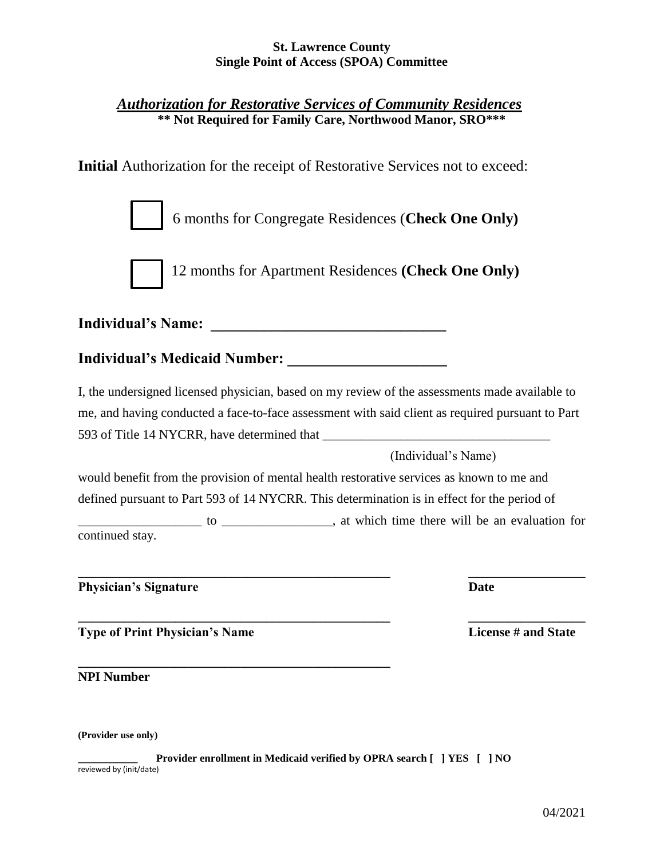# *Authorization for Restorative Services of Community Residences* **\*\* Not Required for Family Care, Northwood Manor, SRO\*\*\***

**Initial** Authorization for the receipt of Restorative Services not to exceed:

6 months for Congregate Residences (**Check One Only)**



12 months for Apartment Residences **(Check One Only)**

**Individual's Name: \_\_\_\_\_\_\_\_\_\_\_\_\_\_\_\_\_\_\_\_\_\_\_\_\_\_\_\_\_\_\_**

**Individual's Medicaid Number: \_\_\_\_\_\_\_\_\_\_\_\_\_\_\_\_\_\_\_\_\_**

I, the undersigned licensed physician, based on my review of the assessments made available to me, and having conducted a face-to-face assessment with said client as required pursuant to Part 593 of Title 14 NYCRR, have determined that

(Individual's Name)

would benefit from the provision of mental health restorative services as known to me and defined pursuant to Part 593 of 14 NYCRR. This determination is in effect for the period of \_\_\_\_\_\_\_\_\_\_\_\_\_\_\_\_\_\_\_ to \_\_\_\_\_\_\_\_\_\_\_\_\_\_\_\_\_, at which time there will be an evaluation for continued stay.

 $\overline{\phantom{a}}$  , and the contribution of the contribution of the contribution of the contribution of  $\overline{\phantom{a}}$ 

**Physician's Signature Date**

**Type of Print Physician's Name License # and State**

**\_\_\_\_\_\_\_\_\_\_\_\_\_\_\_\_\_\_\_\_\_\_\_\_\_\_\_\_\_\_\_\_\_\_\_\_\_\_\_\_\_\_\_\_\_\_\_\_ NPI Number**

**(Provider use only)**

**\_\_\_\_\_\_\_\_\_\_\_ Provider enrollment in Medicaid verified by OPRA search [ ] YES [ ] NO** reviewed by (init/date)

**\_\_\_\_\_\_\_\_\_\_\_\_\_\_\_\_\_\_\_\_\_\_\_\_\_\_\_\_\_\_\_\_\_\_\_\_\_\_\_\_\_\_\_\_\_\_\_\_ \_\_\_\_\_\_\_\_\_\_\_\_\_\_\_\_\_\_**